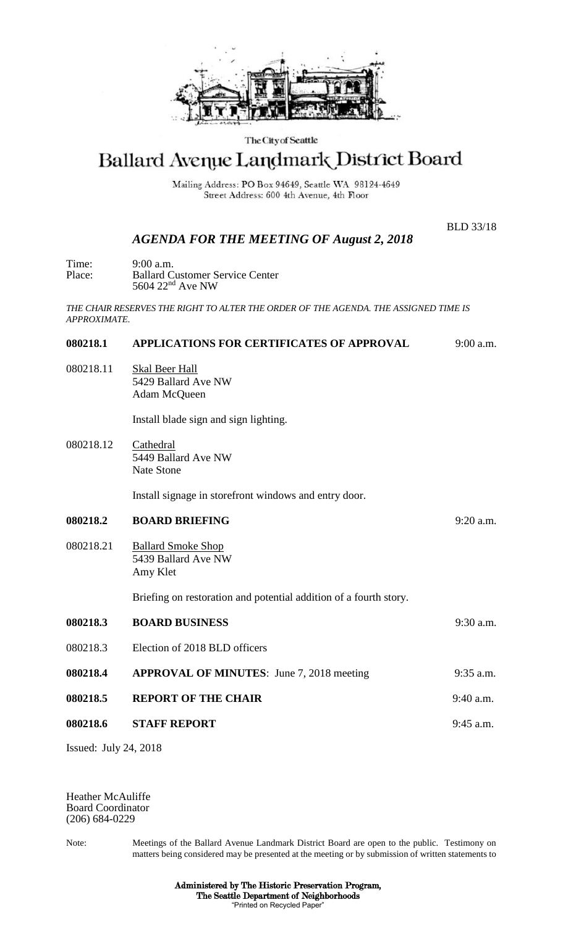

#### The City of Seattle

# Ballard Avenue Landmark District Board

Mailing Address: PO Box 94649, Seattle WA 98124-4649 Street Address: 600 4th Avenue, 4th Floor

BLD 33/18

## *AGENDA FOR THE MEETING OF August 2, 2018*

Time: 9:00 a.m. Place: Ballard Customer Service Center 5604 22nd Ave NW

*THE CHAIR RESERVES THE RIGHT TO ALTER THE ORDER OF THE AGENDA. THE ASSIGNED TIME IS APPROXIMATE.*

## **080218.1 APPLICATIONS FOR CERTIFICATES OF APPROVAL** 9:00 a.m.

080218.11 Skal Beer Hall 5429 Ballard Ave NW Adam McQueen

Install blade sign and sign lighting.

080218.12 Cathedral 5449 Ballard Ave NW Nate Stone

Install signage in storefront windows and entry door.

### **080218.2 BOARD BRIEFING** 9:20 a.m.

080218.21 Ballard Smoke Shop 5439 Ballard Ave NW Amy Klet

Briefing on restoration and potential addition of a fourth story.

**080218.3 BOARD BUSINESS** 9:30 a.m. 080218.3 Election of 2018 BLD officers **080218.4 APPROVAL OF MINUTES**: June 7, 2018 meeting 9:35 a.m. **080218.5 REPORT OF THE CHAIR** 9:40 a.m. **080218.6 STAFF REPORT** 9:45 a.m.

Issued: July 24, 2018

Heather McAuliffe Board Coordinator (206) 684-0229

Note: Meetings of the Ballard Avenue Landmark District Board are open to the public. Testimony on matters being considered may be presented at the meeting or by submission of written statements to